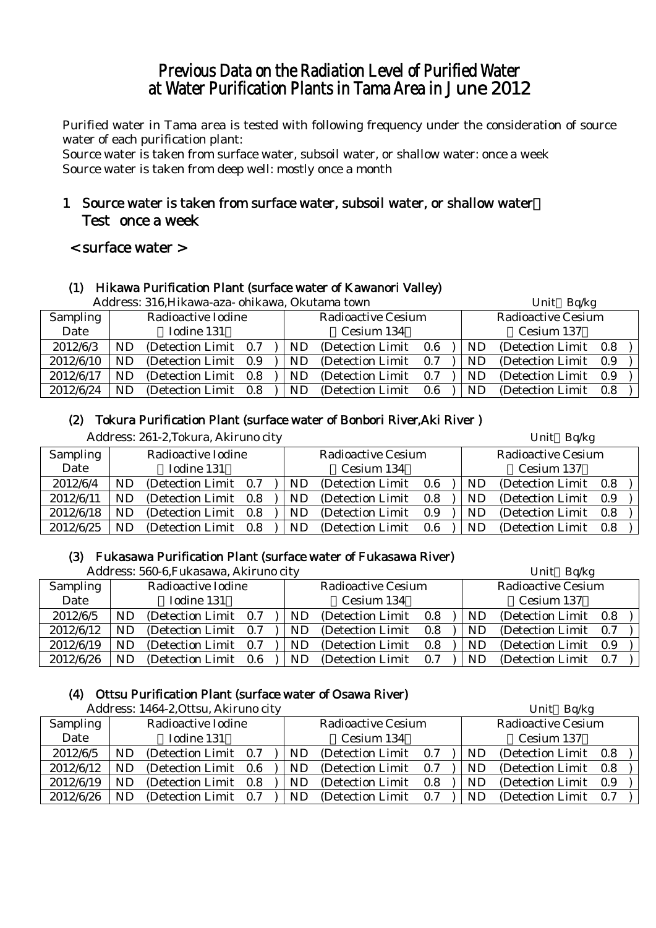# Previous Data on the Radiation Level of Purified Water at Water Purification Plants in Tama Area in June 2012

Purified water in Tama area is tested with following frequency under the consideration of source water of each purification plant:

Source water is taken from surface water, subsoil water, or shallow water: once a week Source water is taken from deep well: mostly once a month

# 1 Source water is taken from surface water, subsoil water, or shallow water: Test once a week

# < surface water >

# (1) Hikawa Purification Plant (surface water of Kawanori Valley)

|           | Address: 316, Hikawa-aza- ohikawa, Okutama town |                       |     |     |                           |     |            |                           | Bq/kg<br>Unit |  |  |  |
|-----------|-------------------------------------------------|-----------------------|-----|-----|---------------------------|-----|------------|---------------------------|---------------|--|--|--|
| Sampling  |                                                 | Radioactive Iodine    |     |     | <b>Radioactive Cesium</b> |     |            | <b>Radioactive Cesium</b> |               |  |  |  |
| Date      |                                                 | Iodine 131            |     |     | Cesium 134                |     | Cesium 137 |                           |               |  |  |  |
| 2012/6/3  | ND                                              | (Detection Limit 0.7) |     | ND. | (Detection Limit)         | 0.6 | ND         | (Detection Limit 0.8)     |               |  |  |  |
| 2012/6/10 | ND                                              | (Detection Limit 0.9) |     | ND. | (Detection Limit)         | 0.7 | ND         | (Detection Limit 0.9)     |               |  |  |  |
| 2012/6/17 | ND                                              | (Detection Limit 0.8) |     | ND. | (Detection Limit)         | 0.7 | ND         | (Detection Limit 0.9)     |               |  |  |  |
| 2012/6/24 | ND                                              | (Detection Limit)     | 0.8 | ND. | (Detection Limit)         | 0.6 | ND         | (Detection Limit 0.8)     |               |  |  |  |

# (2) Tokura Purification Plant (surface water of Bonbori River,Aki River )

|           |    | Address: 261-2, Tokura, Akiruno city |     |     |                           |     |     | Unit Bq/kg                |     |
|-----------|----|--------------------------------------|-----|-----|---------------------------|-----|-----|---------------------------|-----|
| Sampling  |    | Radioactive Iodine                   |     |     | <b>Radioactive Cesium</b> |     |     | <b>Radioactive Cesium</b> |     |
| Date      |    | Iodine 131                           |     |     | Cesium 134                |     |     | Cesium 137                |     |
| 2012/6/4  | ND | (Detection Limit 0.7)                |     | ND. | (Detection Limit)         | 0.6 | ND. | (Detection Limit)         | 0.8 |
| 2012/6/11 | ND | (Detection Limit 0.8)                |     | ND. | (Detection Limit)         | 0.8 | ND  | (Detection Limit)         | 0.9 |
| 2012/6/18 | ND | (Detection Limit 0.8)                |     | ND  | (Detection Limit)         | 0.9 | ND  | (Detection Limit)         | 0.8 |
| 2012/6/25 | ND | (Detection Limit)                    | 0.8 | ND  | (Detection Limit)         | 0.6 | ND  | (Detection Limit)         | 0.8 |

# (3) Fukasawa Purification Plant (surface water of Fukasawa River)

Address: 560-6,Fukasawa, Akiruno city Unit Bq/kg

|                 |    | Audi CSS. 900-0,1 undsawa, Anii unu city |  |     |                           |     |  | $UIIIU$ Dy $n$ g |                           |     |  |  |
|-----------------|----|------------------------------------------|--|-----|---------------------------|-----|--|------------------|---------------------------|-----|--|--|
| <b>Sampling</b> |    | Radioactive Iodine                       |  |     | <b>Radioactive Cesium</b> |     |  |                  | <b>Radioactive Cesium</b> |     |  |  |
| Date            |    | Iodine 131                               |  |     | Cesium 134                |     |  |                  | Cesium 137                |     |  |  |
| 2012/6/5        | ND | (Detection Limit 0.7)                    |  | ND  | (Detection Limit)         | 0.8 |  | ND               | (Detection Limit 0.8)     |     |  |  |
| 2012/6/12       | ND | (Detection Limit 0.7)                    |  | ND. | (Detection Limit)         | 0.8 |  | <b>ND</b>        | (Detection Limit 0.7)     |     |  |  |
| 2012/6/19       | ND | (Detection Limit 0.7)                    |  | ND  | (Detection Limit)         | 0.8 |  | ND               | (Detection Limit)         | 0.9 |  |  |
| 2012/6/26       | ND | (Detection Limit 0.6)                    |  | ND  | (Detection Limit)         | 0.7 |  | ND               | (Detection Limit)         | 0.7 |  |  |

# (4) Ottsu Purification Plant (surface water of Osawa River)

Address: 1464-2,Ottsu, Akiruno city Unit Bq/kg

|           |     | $A$ uul ess. 1404-2, Ottsu, $A$ kii ulio city |     |  |           |                           |     |    | $UIII$ DU/Kg              |     |  |
|-----------|-----|-----------------------------------------------|-----|--|-----------|---------------------------|-----|----|---------------------------|-----|--|
| Sampling  |     | Radioactive Iodine                            |     |  |           | <b>Radioactive Cesium</b> |     |    | <b>Radioactive Cesium</b> |     |  |
| Date      |     | Iodine 131                                    |     |  |           | Cesium 134                |     |    | Cesium 137                |     |  |
| 2012/6/5  | ND  | (Detection Limit 0.7)                         |     |  | <b>ND</b> | (Detection Limit)         | 0.7 | ND | (Detection Limit 0.8)     |     |  |
| 2012/6/12 | ND. | (Detection Limit 0.6)                         |     |  | ND        | (Detection Limit)         | 0.7 | ND | (Detection Limit)         | 0.8 |  |
| 2012/6/19 | ND  | (Detection Limit 0.8)                         |     |  | ND        | (Detection Limit)         | 0.8 | ND | (Detection Limit)         | 0.9 |  |
| 2012/6/26 | ND. | (Detection Limit)                             | 0.7 |  | ND        | (Detection Limit)         | 0.7 | ND | (Detection Limit)         | 0.7 |  |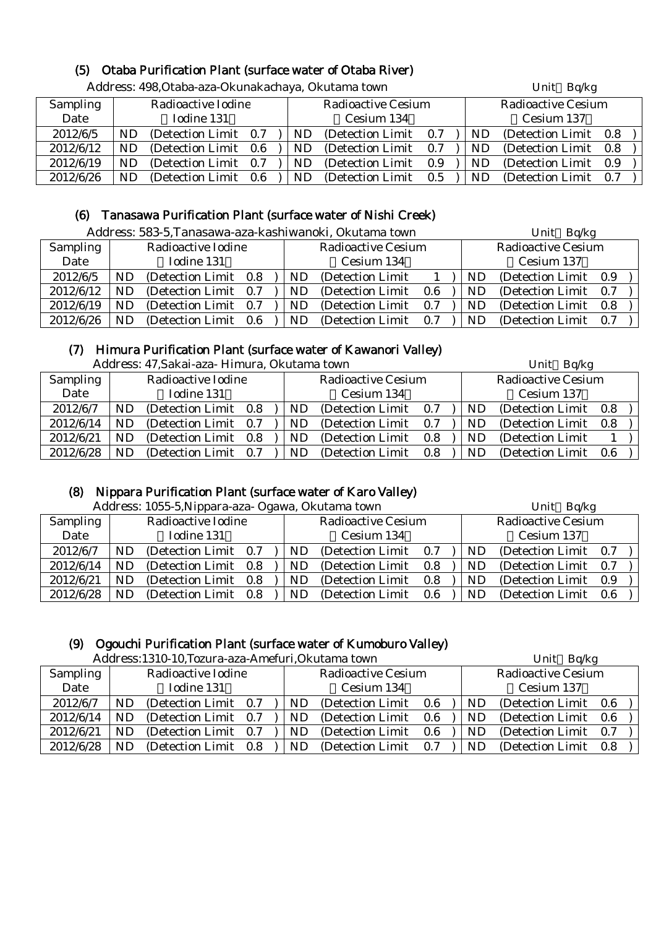# (5) Otaba Purification Plant (surface water of Otaba River)

|           |     |                       |  | Address: 498,Otaba-aza-Okunakachaya, Okutama town |    |                           |     |  | Unit Bq/kg |                           |  |  |
|-----------|-----|-----------------------|--|---------------------------------------------------|----|---------------------------|-----|--|------------|---------------------------|--|--|
| Sampling  |     | Radioactive Iodine    |  |                                                   |    | <b>Radioactive Cesium</b> |     |  |            | <b>Radioactive Cesium</b> |  |  |
| Date      |     | Iodine 131            |  |                                                   |    | Cesium 134                |     |  |            | Cesium 137                |  |  |
| 2012/6/5  | ND. | (Detection Limit 0.7) |  |                                                   | ND | (Detection Limit)         | 0.7 |  | <b>ND</b>  | (Detection Limit 0.8)     |  |  |
| 2012/6/12 | ND  | (Detection Limit 0.6) |  |                                                   | ND | (Detection Limit)         | 0.7 |  | ND.        | (Detection Limit 0.8)     |  |  |
| 2012/6/19 | ND. | (Detection Limit 0.7) |  |                                                   | ND | (Detection Limit)         | 0.9 |  | <b>ND</b>  | (Detection Limit 0.9)     |  |  |
| 2012/6/26 | ND  | (Detection Limit 0.6) |  |                                                   | ND | (Detection Limit)         | 0.5 |  | ND.        | (Detection Limit 0.7)     |  |  |

Address: 498,Otaba-aza-Okunakachaya, Okutama town Unit Bq/kg

# (6) Tanasawa Purification Plant (surface water of Nishi Creek)

| Address: 583-5, Tanasawa-aza-kashiwanoki, Okutama town |  | Unit Bq/kg |
|--------------------------------------------------------|--|------------|
|--------------------------------------------------------|--|------------|

|                 |    |                       | 7 iyul css. 909-9, Fanasawa aza Kashiwanoni, Ondiania town |  |     |                           |         | $U$ IIIL DYAS |                           |                       |     |  |
|-----------------|----|-----------------------|------------------------------------------------------------|--|-----|---------------------------|---------|---------------|---------------------------|-----------------------|-----|--|
| <b>Sampling</b> |    | Radioactive Iodine    |                                                            |  |     | <b>Radioactive Cesium</b> |         |               | <b>Radioactive Cesium</b> |                       |     |  |
| Date            |    | Iodine 131            |                                                            |  |     | Cesium 134                |         |               | Cesium 137                |                       |     |  |
| 2012/6/5        | ND | (Detection Limit 0.8) |                                                            |  | ND  | (Detection Limit)         |         |               | ND                        | (Detection Limit 0.9) |     |  |
| 2012/6/12       | ND | (Detection Limit 0.7) |                                                            |  | ND. | (Detection Limit)         | $0.6\,$ |               | ND                        | (Detection Limit)     | 0.7 |  |
| 2012/6/19       | ND | (Detection Limit 0.7) |                                                            |  | ND  | (Detection Limit)         | 0.7     |               | ND                        | (Detection Limit 0.8) |     |  |
| 2012/6/26       | ND | (Detection Limit 0.6) |                                                            |  | ND. | (Detection Limit)         | 0.7     |               | ND                        | (Detection Limit 0.7) |     |  |

# (7) Himura Purification Plant (surface water of Kawanori Valley)

| Address: 47, Sakai-aza- Himura, Okutama town | Unit Bq/kg |
|----------------------------------------------|------------|
|----------------------------------------------|------------|

|                 |    | 7 iddi cəə. Tr.Danai aza Timinin al-Ondiama təmir |     |     |                           |     | $U$ IIIL $U \psi$ <sub>1</sub> |                       |     |  |  |
|-----------------|----|---------------------------------------------------|-----|-----|---------------------------|-----|--------------------------------|-----------------------|-----|--|--|
| <b>Sampling</b> |    | Radioactive Iodine                                |     |     | <b>Radioactive Cesium</b> |     | Radioactive Cesium             |                       |     |  |  |
| Date            |    | Iodine 131                                        |     |     | Cesium 134                |     | Cesium 137                     |                       |     |  |  |
| 2012/6/7        | ND | (Detection Limit)                                 | 0.8 | ND. | (Detection Limit)         | 0.7 | ND                             | (Detection Limit 0.8) |     |  |  |
| 2012/6/14       | ND | (Detection Limit)                                 | 0.7 | ND. | (Detection Limit)         | 0.7 | ND                             | (Detection Limit)     | 0.8 |  |  |
| 2012/6/21       | ND | (Detection Limit)                                 | 0.8 | ND. | (Detection Limit)         | 0.8 | ND                             | (Detection Limit)     |     |  |  |
| 2012/6/28       | ND | (Detection Limit)                                 | 0.7 | ND  | (Detection Limit)         | 0.8 | ND                             | (Detection Limit)     | 0.6 |  |  |

### (8) Nippara Purification Plant (surface water of Karo Valley)

|           |     | Address: 1055-5, Nippara-aza- Ogawa, Okutama town |     | Unit Bq/kg                |     |            |                           |     |  |
|-----------|-----|---------------------------------------------------|-----|---------------------------|-----|------------|---------------------------|-----|--|
| Sampling  |     | Radioactive Iodine                                |     | <b>Radioactive Cesium</b> |     |            | <b>Radioactive Cesium</b> |     |  |
| Date      |     | Iodine 131                                        |     | Cesium 134                |     | Cesium 137 |                           |     |  |
| 2012/6/7  | ND. | (Detection Limit 0.7)                             | ND. | (Detection Limit 0.7)     |     | ND.        | (Detection Limit 0.7)     |     |  |
| 2012/6/14 | ND. | (Detection Limit 0.8)                             | ND. | (Detection Limit 0.8)     |     | ND         | (Detection Limit 0.7)     |     |  |
| 2012/6/21 | ND. | (Detection Limit 0.8)                             | ND  | (Detection Limit)         | 0.8 | ND.        | (Detection Limit 0.9)     |     |  |
| 2012/6/28 | ND  | (Detection Limit 0.8)                             | ND. | (Detection Limit)         | 0.6 | ND.        | (Detection Limit)         | 0.6 |  |

#### (9) Ogouchi Purification Plant (surface water of Kumoburo Valley)

 $\Delta d$ ress:1310-10,Tozura-aza-Amefuri,Okutama town Unit Bq/kg

|           |    | Address.1310-10,102ura-aza-Ameruri,Okutama town |     |     |                           | Unit Bq/kg |     |                           |     |
|-----------|----|-------------------------------------------------|-----|-----|---------------------------|------------|-----|---------------------------|-----|
| Sampling  |    | Radioactive Iodine                              |     |     | <b>Radioactive Cesium</b> |            |     | <b>Radioactive Cesium</b> |     |
| Date      |    | Iodine 131                                      |     |     | Cesium 134                |            |     | Cesium 137                |     |
| 2012/6/7  | ND | (Detection Limit 0.7)                           |     | ND. | (Detection Limit)         | 0.6        | ND  | (Detection Limit 0.6)     |     |
| 2012/6/14 | ND | (Detection Limit)                               | 0.7 | ND. | (Detection Limit)         | 0.6        | ND  | (Detection Limit)         | 0.6 |
| 2012/6/21 | ND | (Detection Limit)                               | 0.7 | ND  | (Detection Limit)         | 0.6        | ND  | (Detection Limit)         | 0.7 |
| 2012/6/28 | ND | (Detection Limit)                               | 0.8 | ND  | (Detection Limit)         | 0.7        | ND. | (Detection Limit)         | 0.8 |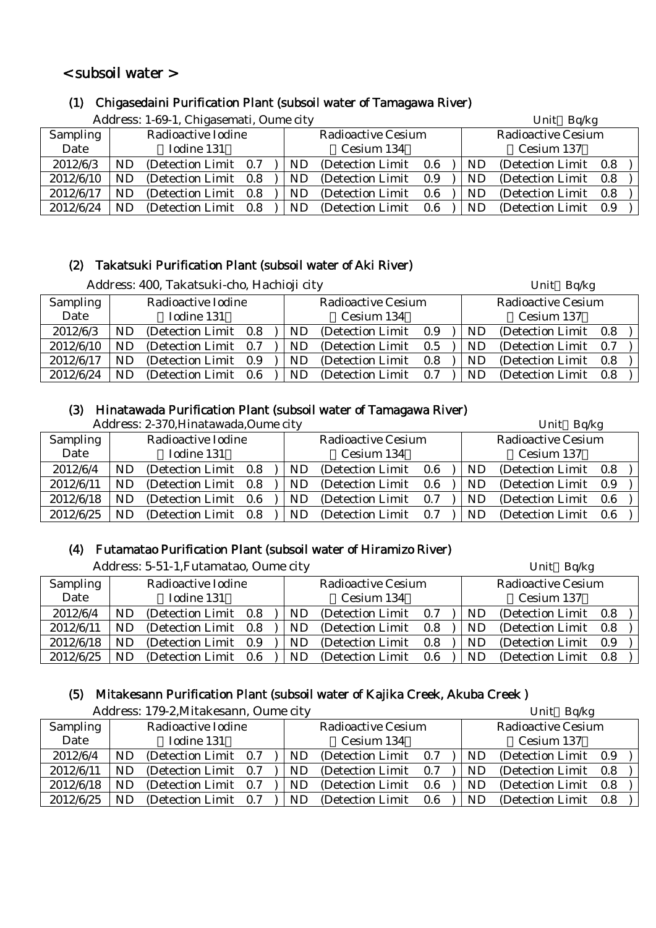# < subsoil water >

#### (1) Chigasedaini Purification Plant (subsoil water of Tamagawa River)

|                 |           | Address: 1-69-1, Chigasemati, Oume city |     |                           | Unit Bq/kg |     |                           |  |  |
|-----------------|-----------|-----------------------------------------|-----|---------------------------|------------|-----|---------------------------|--|--|
| <b>Sampling</b> |           | Radioactive Iodine                      |     | <b>Radioactive Cesium</b> |            |     | <b>Radioactive Cesium</b> |  |  |
| Date            |           | Iodine 131                              |     | Cesium 134                |            |     | Cesium 137                |  |  |
| 2012/6/3        | ND        | (Detection Limit 0.7)                   | ND. | (Detection Limit)         | 0.6        | ND  | (Detection Limit 0.8)     |  |  |
| 2012/6/10       | ND        | (Detection Limit 0.8)                   | ND. | (Detection Limit)         | 0.9        | ND. | (Detection Limit 0.8)     |  |  |
| 2012/6/17       | ND        | (Detection Limit 0.8)                   | ND  | (Detection Limit)         | 0.6        | ND  | (Detection Limit 0.8)     |  |  |
| 2012/6/24       | <b>ND</b> | (Detection Limit 0.8)                   | ND  | (Detection Limit)         | 0.6        | ND  | (Detection Limit 0.9)     |  |  |

# (2) Takatsuki Purification Plant (subsoil water of Aki River)

|                 |    | Address: 400, Takatsuki-cho, Hachioji city |     |     |                           |     |                    |    | Unit Bq/kg        |     |
|-----------------|----|--------------------------------------------|-----|-----|---------------------------|-----|--------------------|----|-------------------|-----|
| <b>Sampling</b> |    | Radioactive Iodine                         |     |     | <b>Radioactive Cesium</b> |     | Radioactive Cesium |    |                   |     |
| Date            |    | Iodine 131                                 |     |     | Cesium 134                |     |                    |    | Cesium 137        |     |
| 2012/6/3        | ND | (Detection Limit 0.8)                      |     | ND. | (Detection Limit)         | 0.9 |                    | ND | (Detection Limit) | 0.8 |
| 2012/6/10       | ND | (Detection Limit 0.7)                      |     | ND. | (Detection Limit)         | 0.5 |                    | ND | (Detection Limit) | 0.7 |
| 2012/6/17       | ND | (Detection Limit 0.9)                      |     | ND  | (Detection Limit)         | 0.8 |                    | ND | (Detection Limit) | 0.8 |
| 2012/6/24       | ND | (Detection Limit)                          | 0.6 | ND. | (Detection Limit)         | 0.7 |                    | ND | (Detection Limit) | 0.8 |

#### (3) Hinatawada Purification Plant (subsoil water of Tamagawa River)

|           |     | Address: 2-370, Hinatawada, Oume city |     |     |                           |     |    | Unit Bq/kg                |     |
|-----------|-----|---------------------------------------|-----|-----|---------------------------|-----|----|---------------------------|-----|
| Sampling  |     | Radioactive Iodine                    |     |     | <b>Radioactive Cesium</b> |     |    | <b>Radioactive Cesium</b> |     |
| Date      |     | Iodine 131                            |     |     | Cesium 134                |     |    | Cesium 137                |     |
| 2012/6/4  | ND  | (Detection Limit 0.8)                 |     | ND. | (Detection Limit)         | 0.6 | ND | (Detection Limit 0.8)     |     |
| 2012/6/11 | ND. | (Detection Limit 0.8)                 |     | ND. | (Detection Limit)         | 0.6 | ND | (Detection Limit)         | 0.9 |
| 2012/6/18 | ND  | (Detection Limit 0.6)                 |     | ND. | (Detection Limit)         | 0.7 | ND | (Detection Limit)         | 0.6 |
| 2012/6/25 | ND. | (Detection Limit)                     | 0.8 | ND. | (Detection Limit)         | 0.7 | ND | (Detection Limit)         | 0.6 |

# (4) Futamatao Purification Plant (subsoil water of Hiramizo River)

|                 | Address: 5-51-1, Futamatao, Oume city |                       |     |  |           |                           |     |  |    | Unit Bq/kg                |     |  |  |
|-----------------|---------------------------------------|-----------------------|-----|--|-----------|---------------------------|-----|--|----|---------------------------|-----|--|--|
| <b>Sampling</b> |                                       | Radioactive Iodine    |     |  |           | <b>Radioactive Cesium</b> |     |  |    | <b>Radioactive Cesium</b> |     |  |  |
| Date            |                                       | Iodine 131            |     |  |           | Cesium 134                |     |  |    | Cesium 137                |     |  |  |
| 2012/6/4        | $\mathbf{N}\mathbf{D}$                | (Detection Limit 0.8) |     |  | ND.       | (Detection Limit)         | 0.7 |  | ND | (Detection Limit 0.8)     |     |  |  |
| 2012/6/11       | ND                                    | (Detection Limit 0.8) |     |  | <b>ND</b> | (Detection Limit)         | 0.8 |  | ND | (Detection Limit 0.8)     |     |  |  |
| 2012/6/18       | ND                                    | (Detection Limit 0.9) |     |  | <b>ND</b> | (Detection Limit)         | 0.8 |  | ND | (Detection Limit)         | 0.9 |  |  |
| 2012/6/25       | ND                                    | (Detection Limit)     | 0.6 |  | <b>ND</b> | (Detection Limit)         | 0.6 |  | ND | (Detection Limit)         | 0.8 |  |  |

### (5) Mitakesann Purification Plant (subsoil water of Kajika Creek, Akuba Creek )

|                 |    | Address: 179-2, Mitakesann, Oume city |     |    |                           |     |    | Unit Bq/kg                |     |
|-----------------|----|---------------------------------------|-----|----|---------------------------|-----|----|---------------------------|-----|
| <b>Sampling</b> |    | Radioactive Iodine                    |     |    | <b>Radioactive Cesium</b> |     |    | <b>Radioactive Cesium</b> |     |
| Date            |    | Iodine 131                            |     |    | Cesium 134                |     |    | Cesium 137                |     |
| 2012/6/4        | ND | (Detection Limit 0.7)                 |     | ND | (Detection Limit)         | 0.7 | ND | (Detection Limit)         | 0.9 |
| 2012/6/11       | ND | (Detection Limit 0.7)                 |     | ND | (Detection Limit)         | 0.7 | ND | (Detection Limit 0.8)     |     |
| 2012/6/18       | ND | (Detection Limit)                     | 0.7 | ND | (Detection Limit)         | 0.6 | ND | (Detection Limit)         | 0.8 |
| 2012/6/25       | ND | (Detection Limit)                     | 0.7 | ND | (Detection Limit)         | 0.6 | ND | (Detection Limit)         | 0.8 |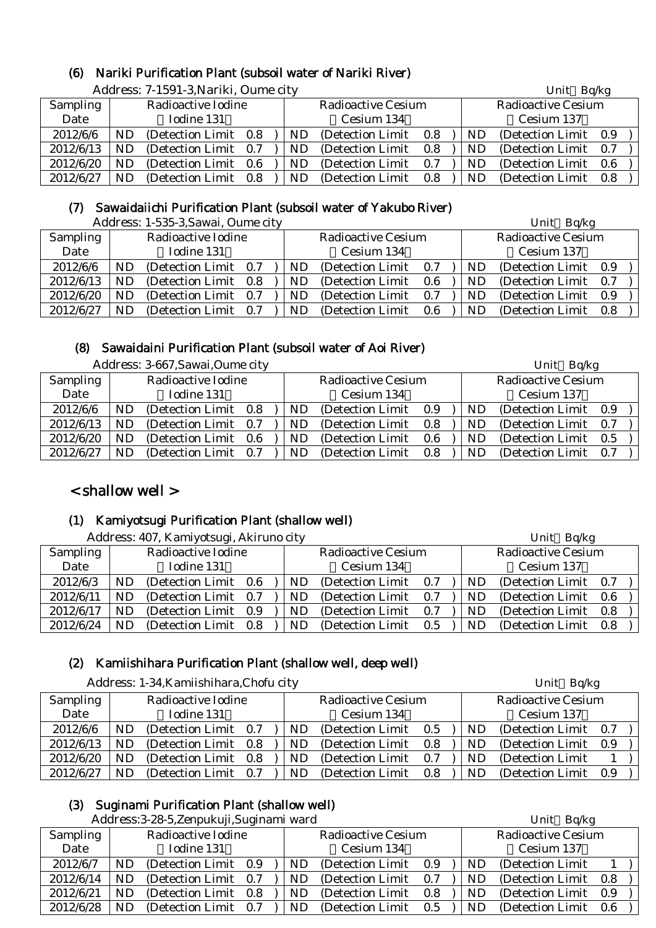#### (6) Nariki Purification Plant (subsoil water of Nariki River)

|                 |    | Address: 7-1591-3, Nariki, Oume city |     |     |                           |     |    | Unit Bq/kg                |     |  |
|-----------------|----|--------------------------------------|-----|-----|---------------------------|-----|----|---------------------------|-----|--|
| <b>Sampling</b> |    | Radioactive Iodine                   |     |     | <b>Radioactive Cesium</b> |     |    | <b>Radioactive Cesium</b> |     |  |
| Date            |    | Iodine 131                           |     |     | Cesium 134                |     |    | Cesium 137                |     |  |
| 2012/6/6        | ND | (Detection Limit 0.8)                |     | ND  | (Detection Limit)         | 0.8 | ND | (Detection Limit)         | 0.9 |  |
| 2012/6/13       | ND | (Detection Limit)                    | 0.7 | ND. | (Detection Limit)         | 0.8 | ND | (Detection Limit)         | 0.7 |  |
| 2012/6/20       | ND | (Detection Limit)                    | 0.6 | ND. | (Detection Limit)         | 0.7 | ND | (Detection Limit)         | 0.6 |  |
| 2012/6/27       | ND | (Detection Limit)                    | 0.8 | ND  | (Detection Limit)         | 0.8 | ND | (Detection Limit)         | 0.8 |  |

### (7) Sawaidaiichi Purification Plant (subsoil water of Yakubo River)

|           |    | Address: 1-535-3, Sawai, Oume city |     |                           |     |     | Unit Bq/kg                |     |  |
|-----------|----|------------------------------------|-----|---------------------------|-----|-----|---------------------------|-----|--|
| Sampling  |    | Radioactive Iodine                 |     | <b>Radioactive Cesium</b> |     |     | <b>Radioactive Cesium</b> |     |  |
| Date      |    | Iodine 131                         |     | Cesium 134                |     |     | Cesium 137                |     |  |
| 2012/6/6  | ND | (Detection Limit 0.7)              | ND  | (Detection Limit 0.7)     |     | ND. | (Detection Limit 0.9)     |     |  |
| 2012/6/13 | ND | (Detection Limit 0.8)              | ND  | (Detection Limit)         | 0.6 | ND  | (Detection Limit)         | 0.7 |  |
| 2012/6/20 | ND | (Detection Limit 0.7)              | ND. | (Detection Limit)         | 0.7 | ND  | (Detection Limit)         | 0.9 |  |
| 2012/6/27 | ND | (Detection Limit 0.7)              | ND  | (Detection Limit)         | 0.6 | ND  | (Detection Limit)         | 0.8 |  |

# (8) Sawaidaini Purification Plant (subsoil water of Aoi River)

|                 |     | Address: 3-667, Sawai, Oume city |  |     |                           |     |           | Unit Bq/kg                |     |
|-----------------|-----|----------------------------------|--|-----|---------------------------|-----|-----------|---------------------------|-----|
| <b>Sampling</b> |     | Radioactive Iodine               |  |     | <b>Radioactive Cesium</b> |     |           | <b>Radioactive Cesium</b> |     |
| Date            |     | Iodine 131                       |  |     | Cesium 134                |     |           | Cesium 137                |     |
| 2012/6/6        | ND  | (Detection Limit 0.8)            |  | ND. | (Detection Limit)         | 0.9 | ND.       | (Detection Limit 0.9)     |     |
| 2012/6/13       | ND  | (Detection Limit 0.7)            |  | ND. | (Detection Limit)         | 0.8 | ND        | (Detection Limit)         | 0.7 |
| 2012/6/20       | ND. | (Detection Limit 0.6)            |  | ND. | (Detection Limit)         | 0.6 | ND        | (Detection Limit)         | 0.5 |
| 2012/6/27       | ND  | (Detection Limit 0.7)            |  | ND. | (Detection Limit)         | 0.8 | <b>ND</b> | (Detection Limit)         | 0.7 |

# < shallow well >

#### (1) Kamiyotsugi Purification Plant (shallow well)

Address: 407, Kamiyotsugi, Akiruno city Unit Bq/kg

|           | $A$ uuress, 407, Kannyotsugi, AKII uno eny |                       |  |  |     |                           |     |  |    | $UIIIU$ Dy $n$ g          |  |
|-----------|--------------------------------------------|-----------------------|--|--|-----|---------------------------|-----|--|----|---------------------------|--|
| Sampling  |                                            | Radioactive Iodine    |  |  |     | <b>Radioactive Cesium</b> |     |  |    | <b>Radioactive Cesium</b> |  |
| Date      |                                            | Iodine 131            |  |  |     | Cesium 134                |     |  |    | Cesium 137                |  |
| 2012/6/3  | ND                                         | (Detection Limit 0.6) |  |  | ND. | (Detection Limit)         | 0.7 |  | ND | (Detection Limit 0.7)     |  |
| 2012/6/11 | ND                                         | (Detection Limit 0.7) |  |  | ND  | (Detection Limit)         | 0.7 |  | ND | (Detection Limit 0.6)     |  |
| 2012/6/17 | ND.                                        | (Detection Limit 0.9) |  |  | ND. | (Detection Limit)         | 0.7 |  | ND | (Detection Limit 0.8)     |  |
| 2012/6/24 | ND                                         | (Detection Limit 0.8) |  |  | ND  | (Detection Limit)         | 0.5 |  | ND | (Detection Limit 0.8)     |  |

# (2) Kamiishihara Purification Plant (shallow well, deep well)

|           |     | Address: 1-34, Kamiishihara, Chofu city |    |                           |     |     | Bq/kg<br>Unit             |     |  |
|-----------|-----|-----------------------------------------|----|---------------------------|-----|-----|---------------------------|-----|--|
| Sampling  |     | Radioactive Iodine                      |    | <b>Radioactive Cesium</b> |     |     | <b>Radioactive Cesium</b> |     |  |
| Date      |     | Iodine 131                              |    | Cesium 134                |     |     | Cesium 137                |     |  |
| 2012/6/6  | ND. | (Detection Limit 0.7)                   | ND | (Detection Limit)         | 0.5 | ND. | (Detection Limit)         | 0.7 |  |
| 2012/6/13 | ND. | (Detection Limit 0.8)                   | ND | (Detection Limit)         | 0.8 | ND  | (Detection Limit)         | 0.9 |  |
| 2012/6/20 | ND. | (Detection Limit 0.8)                   | ND | (Detection Limit)         | 0.7 | ND  | (Detection Limit)         |     |  |
| 2012/6/27 | ND  | (Detection Limit 0.7)                   | ND | (Detection Limit)         | 0.8 | ND  | (Detection Limit)         | 0.9 |  |

# (3) Suginami Purification Plant (shallow well)

|  | Address: 3-28-5, Zenpukuji, Suginami ward |  |
|--|-------------------------------------------|--|
|--|-------------------------------------------|--|

|           |           | Address: 3-28-5, Zenpukuji, Suginami ward |     |                           |     |     | Unit Bq/kg                |  |
|-----------|-----------|-------------------------------------------|-----|---------------------------|-----|-----|---------------------------|--|
| Sampling  |           | Radioactive Iodine                        |     | <b>Radioactive Cesium</b> |     |     | <b>Radioactive Cesium</b> |  |
| Date      |           | Iodine 131                                |     | Cesium 134                |     |     | Cesium 137                |  |
| 2012/6/7  | ND        | (Detection Limit 0.9)                     | ND. | (Detection Limit 0.9      |     | ND. | (Detection Limit)         |  |
| 2012/6/14 | <b>ND</b> | (Detection Limit 0.7)                     | ND. | (Detection Limit)         | 0.7 | ND. | (Detection Limit 0.8)     |  |
| 2012/6/21 | <b>ND</b> | (Detection Limit 0.8)                     | ND. | (Detection Limit)         | 0.8 | ND. | (Detection Limit 0.9)     |  |
| 2012/6/28 | ND        | (Detection Limit 0.7)                     | ND. | (Detection Limit)         | 0.5 | ND. | (Detection Limit 0.6)     |  |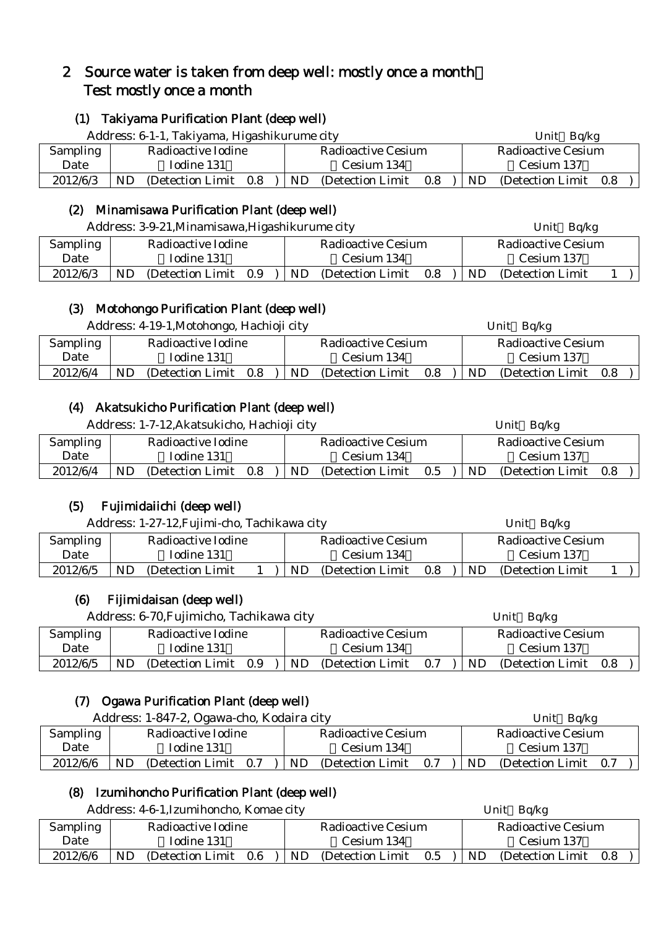# 2 Source water is taken from deep well: mostly once a month: Test mostly once a month

### (1) Takiyama Purification Plant (deep well)

|                 | Address: 6-1-1, Takiyama, Higashikurume city |     |                           |     |           | Ba/kg<br>Unit      |     |  |  |
|-----------------|----------------------------------------------|-----|---------------------------|-----|-----------|--------------------|-----|--|--|
| <b>Sampling</b> | Radioactive Iodine                           |     | <b>Radioactive Cesium</b> |     |           | Radioactive Cesium |     |  |  |
| Date            | Iodine 131                                   |     | Cesium 134                |     |           | Cesium 137         |     |  |  |
| 2012/6/3        | ND<br>(Detection Limit 0.8)                  | ND. | (Detection Limit)         | 0.8 | <b>ND</b> | (Detection Limit)  | 0.8 |  |  |

# (2) Minamisawa Purification Plant (deep well)

Address: 3-9-21, Minamisawa, Higashikurume city Unit Bq/kg

| <b>Sampling</b> | Radioactive Iodine |                   |     | Radioactive Cesium |                   |     |    | Radioactive Cesium |  |  |  |
|-----------------|--------------------|-------------------|-----|--------------------|-------------------|-----|----|--------------------|--|--|--|
| Date            |                    | Iodine 131        |     |                    | Cesium 134        |     |    | Cesium 137         |  |  |  |
| 2012/6/3        | ND                 | (Detection Limit) | 0.9 | ND                 | (Detection Limit) | 0.8 | ND | (Detection Limit)  |  |  |  |

# (3) Motohongo Purification Plant (deep well)

Address: 4-19-1,Motohongo, Hachioji city Unit Bq/kg

|          |                    |                   |         |     | $\sim$ $\sim$ $\sim$ $\sim$ |         |     |                    |     |  |  |
|----------|--------------------|-------------------|---------|-----|-----------------------------|---------|-----|--------------------|-----|--|--|
| Sampling | Radioactive Iodine |                   |         |     | Radioactive Cesium          |         |     | Radioactive Cesium |     |  |  |
| Date     | Iodine 131         |                   |         |     | Cesium 134                  |         |     | Cesium 137         |     |  |  |
| 2012/6/4 | ND.                | (Detection Limit) | $0.8\,$ | ND. | (Detection Limit)           | $0.8\,$ | ND. | (Detection Limit)  | 0.8 |  |  |
|          |                    |                   |         |     |                             |         |     |                    |     |  |  |

# (4) Akatsukicho Purification Plant (deep well)

Address: 1-7-12,Akatsukicho, Hachioji city Unit Bq/kg

|                 |                                |                                       | ____                                  |  |  |  |
|-----------------|--------------------------------|---------------------------------------|---------------------------------------|--|--|--|
| <b>Sampling</b> | Radioactive Iodine             | Radioactive Cesium                    | Radioactive Cesium                    |  |  |  |
| Date            | Iodine 131                     | Cesium 134                            | Cesium 137                            |  |  |  |
| 2012/6/4        | ND<br>(Detection Limit)<br>0.8 | <b>ND</b><br>(Detection Limit)<br>0.5 | <b>ND</b><br>(Detection Limit)<br>0.8 |  |  |  |

# (5) Fujimidaiichi (deep well)

|                 | Address: 1-27-12, Fujimi-cho, Tachikawa city |                    |  |  |     |                           |     |     | Unit $Bq/kg$              |  |  |  |  |  |
|-----------------|----------------------------------------------|--------------------|--|--|-----|---------------------------|-----|-----|---------------------------|--|--|--|--|--|
| <b>Sampling</b> |                                              | Radioactive Iodine |  |  |     | <b>Radioactive Cesium</b> |     |     | <b>Radioactive Cesium</b> |  |  |  |  |  |
| Date            |                                              | Iodine 131         |  |  |     | Cesium 134                |     |     | Cesium 137                |  |  |  |  |  |
| 2012/6/5        | <b>ND</b>                                    | (Detection Limit)  |  |  | ND. | (Detection Limit)         | 0.8 | ND. | (Detection Limit)         |  |  |  |  |  |

# (6) Fijimidaisan (deep well)

Address: 6-70. Fujimicho, Tachikawa city Unit Bq/kg

|          |            |                    |     |            |                    |     |            | $-1$               |     |  |
|----------|------------|--------------------|-----|------------|--------------------|-----|------------|--------------------|-----|--|
| Sampling |            | Radioactive Iodine |     |            | Radioactive Cesium |     |            | Radioactive Cesium |     |  |
| Date     | Todine 131 |                    |     | Cesium 134 |                    |     | Cesium 137 |                    |     |  |
| 2012/6/5 | ND         | (Detection Limit)  | 0.9 | ND         | (Detection Limit)  | 0.7 | ND.        | (Detection Limit)  | 0.8 |  |

# (7) Ogawa Purification Plant (deep well)

|          | Address: 1-847-2, Ogawa-cho, Kodaira city |                    |     |     |                           |                           | Unit Bq/kg |                       |  |  |  |
|----------|-------------------------------------------|--------------------|-----|-----|---------------------------|---------------------------|------------|-----------------------|--|--|--|
| Sampling |                                           | Radioactive Iodine |     |     | <b>Radioactive Cesium</b> | <b>Radioactive Cesium</b> |            |                       |  |  |  |
| Date     | Iodine 131                                |                    |     |     | Cesium 134                |                           | Cesium 137 |                       |  |  |  |
| 2012/6/6 | ND                                        | (Detection Limit)  | 0.7 | ND. | (Detection Limit)         | 0.7                       | ND.        | (Detection Limit 0.7) |  |  |  |

# (8) Izumihoncho Purification Plant (deep well)

Address: 4-6-1.Izumihoncho, Komae city Unit Bq/kg

| <b>Sampling</b> | Radioactive Iodine             | Radioactive Cesium             | Radioactive Cesium             |  |  |
|-----------------|--------------------------------|--------------------------------|--------------------------------|--|--|
| Date            | Iodine 131                     | Cesium 134                     | Cesium 137                     |  |  |
| 2012/6/6        | ND<br>0.6<br>(Detection Limit) | ND<br>0.5<br>(Detection Limit) | ND<br>(Detection Limit)<br>0.8 |  |  |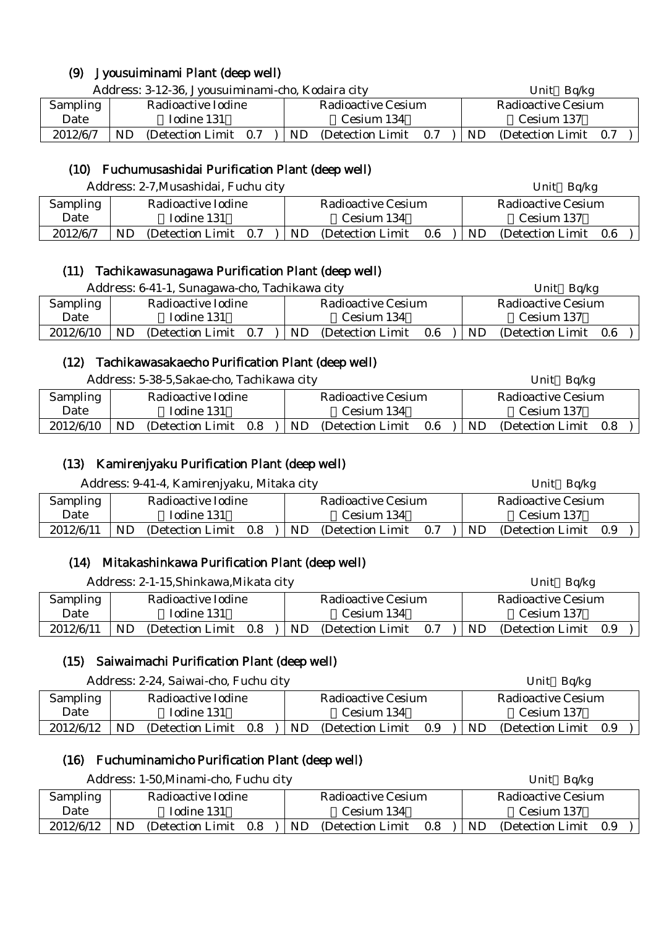# (9) Jyousuiminami Plant (deep well)

|          | Address: 3-12-36, Jyousuiminami-cho, Kodaira city |                    |     |            |                    |                   |     |            | Bq/kg<br>Unit         |  |  |  |
|----------|---------------------------------------------------|--------------------|-----|------------|--------------------|-------------------|-----|------------|-----------------------|--|--|--|
| Sampling |                                                   | Radioactive Iodine |     |            | Radioactive Cesium |                   |     |            | Radioactive Cesium    |  |  |  |
| Date     | Iodine 131                                        |                    |     | Cesium 134 |                    |                   |     | Cesium 137 |                       |  |  |  |
| 2012/6/7 | ND                                                | (Detection Limit)  | 0.7 |            | ND                 | (Detection Limit) | 0.7 | ND.        | (Detection Limit 0.7) |  |  |  |

### (10) Fuchumusashidai Purification Plant (deep well)

|                 | Address: 2-7, Musashidai, Fuchu city |  |     |                           |                    | Unit $Bq/kg$ |                       |  |  |
|-----------------|--------------------------------------|--|-----|---------------------------|--------------------|--------------|-----------------------|--|--|
| <b>Sampling</b> | Radioactive Iodine                   |  |     | <b>Radioactive Cesium</b> | Radioactive Cesium |              |                       |  |  |
| Date            | Iodine 131                           |  |     | Cesium 134                |                    |              | Cesium 137            |  |  |
| 2012/6/7        | (Detection Limit 0.7)<br>ND          |  | ND. | (Detection Limit)         | 0.6                | ND.          | (Detection Limit 0.6) |  |  |

#### (11) Tachikawasunagawa Purification Plant (deep well)

|           | Address: 6-41-1, Sunagawa-cho, Tachikawa city |                       |  |           |                    |                    |     | Unit Bq/kg        |     |  |  |
|-----------|-----------------------------------------------|-----------------------|--|-----------|--------------------|--------------------|-----|-------------------|-----|--|--|
| Sampling  |                                               | Radioactive Iodine    |  |           | Radioactive Cesium | Radioactive Cesium |     |                   |     |  |  |
| Date      |                                               | Iodine 131            |  |           | Cesium 134         |                    |     | Cesium 137        |     |  |  |
| 2012/6/10 | ND.                                           | (Detection Limit 0.7) |  | <b>ND</b> | (Detection Limit)  | $0.6\,$            | ND. | (Detection Limit) | 0.6 |  |  |
|           |                                               |                       |  |           |                    |                    |     |                   |     |  |  |

#### (12) Tachikawasakaecho Purification Plant (deep well)

| Address: 5-38-5, Sakae-cho, Tachikawa city |  |
|--------------------------------------------|--|
|--------------------------------------------|--|

|                 | Address: 5-38-5, Sakae-cho, Tachikawa city |                       |  |  |                    |                   | Unit $Bq/kg$ |           |                       |  |  |  |
|-----------------|--------------------------------------------|-----------------------|--|--|--------------------|-------------------|--------------|-----------|-----------------------|--|--|--|
| <b>Sampling</b> | Radioactive Iodine                         |                       |  |  | Radioactive Cesium |                   |              |           | Radioactive Cesium    |  |  |  |
| Date            |                                            | Iodine 131            |  |  |                    | Cesium 134        |              |           | Cesium 137            |  |  |  |
| 2012/6/10       | <b>ND</b>                                  | (Detection Limit 0.8) |  |  | ND.                | (Detection Limit) | 0.6          | <b>ND</b> | (Detection Limit 0.8) |  |  |  |

# (13) Kamirenjyaku Purification Plant (deep well)

| Address: 9-41-4, Kamirenjyaku, Mitaka city |                    |                   |     |     |                           |     |     | Unit Bq/kg            |  |  |  |
|--------------------------------------------|--------------------|-------------------|-----|-----|---------------------------|-----|-----|-----------------------|--|--|--|
| Sampling                                   | Radioactive Iodine |                   |     |     | <b>Radioactive Cesium</b> |     |     | Radioactive Cesium    |  |  |  |
| Date                                       |                    | Iodine 131        |     |     | Cesium 134                |     |     | Cesium 137            |  |  |  |
| 2012/6/11                                  | ND.                | (Detection Limit) | 0.8 | ND. | (Detection Limit)         | 0.7 | ND. | (Detection Limit 0.9) |  |  |  |

# (14) Mitakashinkawa Purification Plant (deep well)

| Address: 2-1-15, Shinkawa, Mikata city |                    |                   |     |  |                    |                   |     |           | Unit Bq/kg            |  |  |  |
|----------------------------------------|--------------------|-------------------|-----|--|--------------------|-------------------|-----|-----------|-----------------------|--|--|--|
| Sampling                               | Radioactive Iodine |                   |     |  | Radioactive Cesium |                   |     |           | Radioactive Cesium    |  |  |  |
| Date                                   |                    | Iodine 131        |     |  |                    | Cesium 134        |     |           | Cesium 137            |  |  |  |
| 2012/6/11                              | <b>ND</b>          | (Detection Limit) | 0.8 |  | <b>ND</b>          | (Detection Limit) | 0.7 | <b>ND</b> | (Detection Limit 0.9) |  |  |  |

# (15) Saiwaimachi Purification Plant (deep well)

 $\mathsf{I}$ 

| Address: 2-24, Saiwai-cho, Fuchu city |                    |                       |  |                    |     |                   |                    | Unit Bq/kg |                       |  |  |
|---------------------------------------|--------------------|-----------------------|--|--------------------|-----|-------------------|--------------------|------------|-----------------------|--|--|
| Sampling                              | Radioactive Iodine |                       |  | Radioactive Cesium |     |                   | Radioactive Cesium |            |                       |  |  |
| Date                                  |                    | Iodine 131            |  |                    |     | Cesium 134        |                    |            | Cesium 137            |  |  |
| 2012/6/12                             | <b>ND</b>          | (Detection Limit 0.8) |  |                    | ND. | (Detection Limit) | 0.9                | ND.        | (Detection Limit 0.9) |  |  |

#### (16) Fuchuminamicho Purification Plant (deep well)

|           | Address: 1-50, Minami-cho, Fuchu city | Unit Bq/kg                      |                              |  |
|-----------|---------------------------------------|---------------------------------|------------------------------|--|
| Sampling  | Radioactive Iodine                    | Radioactive Cesium              | Radioactive Cesium           |  |
| Date      | Iodine 131                            | Cesium 134                      | Cesium 137                   |  |
| 2012/6/12 | ND<br>(Detection Limit)<br>0.8        | ND.<br>(Detection Limit)<br>0.8 | ND.<br>(Detection Limit 0.9) |  |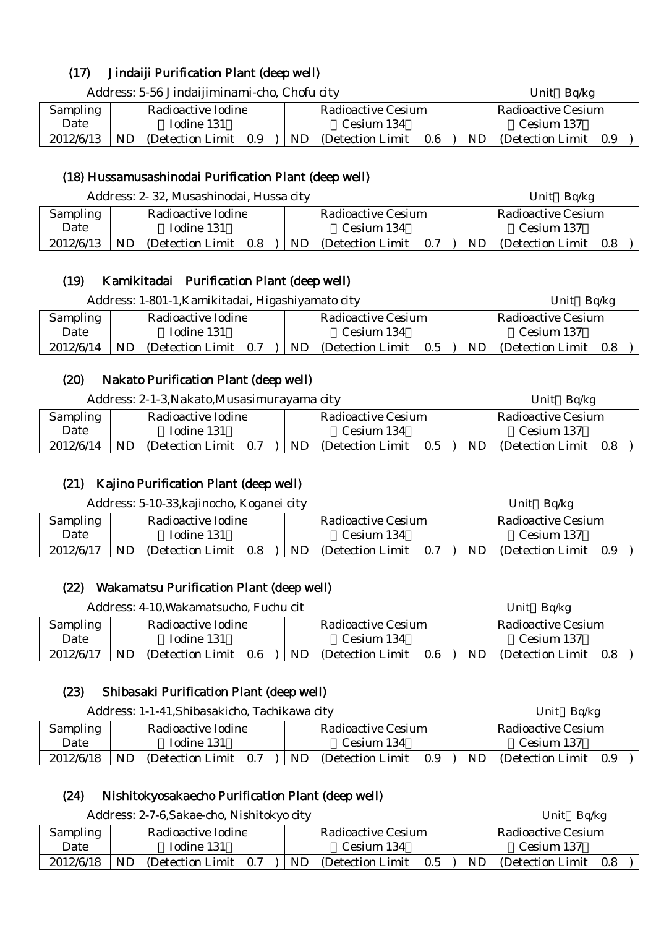# (17) Jindaiji Purification Plant (deep well)

| Address: 5-56 Jindaijiminami-cho, Chofu city |                    |                   |     |  |                           |                   |     | Unit Bq/kg         |                       |  |  |
|----------------------------------------------|--------------------|-------------------|-----|--|---------------------------|-------------------|-----|--------------------|-----------------------|--|--|
| Sampling                                     | Radioactive Iodine |                   |     |  | <b>Radioactive Cesium</b> |                   |     | Radioactive Cesium |                       |  |  |
| Date                                         |                    | Iodine 131        |     |  |                           | Cesium 134        |     |                    | Cesium 137            |  |  |
| 2012/6/13                                    | ND                 | (Detection Limit) | 0.9 |  | ND.                       | (Detection Limit) | 0.6 | ND.                | (Detection Limit 0.9) |  |  |

#### (18) Hussamusashinodai Purification Plant (deep well)

|                 | Address: 2-32, Musashinodai, Hussa city | Unit Bq/kg                            |                                       |  |  |
|-----------------|-----------------------------------------|---------------------------------------|---------------------------------------|--|--|
| <b>Sampling</b> | Radioactive Iodine                      | <b>Radioactive Cesium</b>             | <b>Radioactive Cesium</b>             |  |  |
| Date            | Iodine 131                              | Cesium 134                            | Cesium 137                            |  |  |
| 2012/6/13       | ND<br>(Detection Limit 0.8)             | <b>ND</b><br>(Detection Limit)<br>0.7 | <b>ND</b><br>(Detection Limit)<br>0.8 |  |  |

# (19) Kamikitadai Purification Plant (deep well)

|           | Address: 1-801-1, Kamikitadai, Higashiyamato city | Unit $Bq/kg$      |     |           |                           |     |    |                    |     |  |
|-----------|---------------------------------------------------|-------------------|-----|-----------|---------------------------|-----|----|--------------------|-----|--|
| Sampling  | Radioactive Iodine                                |                   |     |           | <b>Radioactive Cesium</b> |     |    | Radioactive Cesium |     |  |
| Date      |                                                   | Iodine 131        |     |           | Cesium 134                |     |    | Cesium 137         |     |  |
| 2012/6/14 | ND.                                               | (Detection Limit) | 0.7 | <b>ND</b> | (Detection Limit)         | 0.5 | ND | (Detection Limit)  | 0.8 |  |

# (20) Nakato Purification Plant (deep well)

| Address: 2-1-3, Nakato, Musasimurayama city |     |                    |     |     |                    |         |     | Unit $Bq/kg$          |  |  |  |
|---------------------------------------------|-----|--------------------|-----|-----|--------------------|---------|-----|-----------------------|--|--|--|
| Sampling                                    |     | Radioactive Iodine |     |     | Radioactive Cesium |         |     | Radioactive Cesium    |  |  |  |
| Date                                        |     | Iodine 131         |     |     | Cesium 134         |         |     | Cesium 137            |  |  |  |
| 2012/6/14                                   | ND. | (Detection Limit)  | 0.7 | ND. | (Detection Limit)  | $0.5\,$ | ND. | (Detection Limit 0.8) |  |  |  |

#### (21) Kajino Purification Plant (deep well)

| Address: 5-10-33, kajinocho, Koganei city |    |                    |     |     |                    |     | Unit $Bq/kg$ |                           |       |  |
|-------------------------------------------|----|--------------------|-----|-----|--------------------|-----|--------------|---------------------------|-------|--|
| Sampling                                  |    | Radioactive Iodine |     |     | Radioactive Cesium |     |              | <b>Radioactive Cesium</b> |       |  |
| Date                                      |    | Iodine 131         |     |     | Cesium 134         |     |              | Cesium 137                |       |  |
| 2012/6/17                                 | ND | (Detection Limit)  | 0.8 | ND. | (Detection Limit)  | 0.7 | <b>ND</b>    | (Detection Limit)         | - 0.9 |  |

# (22) Wakamatsu Purification Plant (deep well)

| Address: 4-10, Wakamatsucho, Fuchu cit |                                |  |                    |                   |     |                           | Unit Bg/kg        |     |  |  |
|----------------------------------------|--------------------------------|--|--------------------|-------------------|-----|---------------------------|-------------------|-----|--|--|
| <b>Sampling</b>                        | Radioactive Iodine             |  | Radioactive Cesium |                   |     | <b>Radioactive Cesium</b> |                   |     |  |  |
| Date                                   | Iodine 131                     |  |                    | Cesium 134        |     |                           | Cesium 137        |     |  |  |
| 2012/6/17                              | ND<br>(Detection Limit)<br>0.6 |  | ND.                | (Detection Limit) | 0.6 | ND                        | (Detection Limit) | 0.8 |  |  |

#### (23) Shibasaki Purification Plant (deep well)

| Address: 1-1-41, Shibasakicho, Tachikawa city |     |                    |     |  |    |                           |     | Unit $Bq/kg$ |     |                           |  |  |
|-----------------------------------------------|-----|--------------------|-----|--|----|---------------------------|-----|--------------|-----|---------------------------|--|--|
| Sampling                                      |     | Radioactive Iodine |     |  |    | <b>Radioactive Cesium</b> |     |              |     | <b>Radioactive Cesium</b> |  |  |
| Date                                          |     | Iodine 131         |     |  |    | Cesium 134                |     |              |     | Cesium 137                |  |  |
| 2012/6/18                                     | ND. | (Detection Limit)  | 0.7 |  | ND | (Detection Limit)         | 0.9 |              | ND. | (Detection Limit 0.9)     |  |  |

# (24) Nishitokyosakaecho Purification Plant (deep well)

|           | Address: 2-7-6, Sakae-cho, Nishitokyo city | Unit Bq/kg                   |                               |  |  |
|-----------|--------------------------------------------|------------------------------|-------------------------------|--|--|
| Sampling  | Radioactive Iodine                         | <b>Radioactive Cesium</b>    | <b>Radioactive Cesium</b>     |  |  |
| Date      | Iodine 131                                 | Cesium 134                   | Cesium 137                    |  |  |
| 2012/6/18 | (Detection Limit 0.7)<br>ND.               | ND.<br>(Detection Limit 0.5) | I ND<br>(Detection Limit 0.8) |  |  |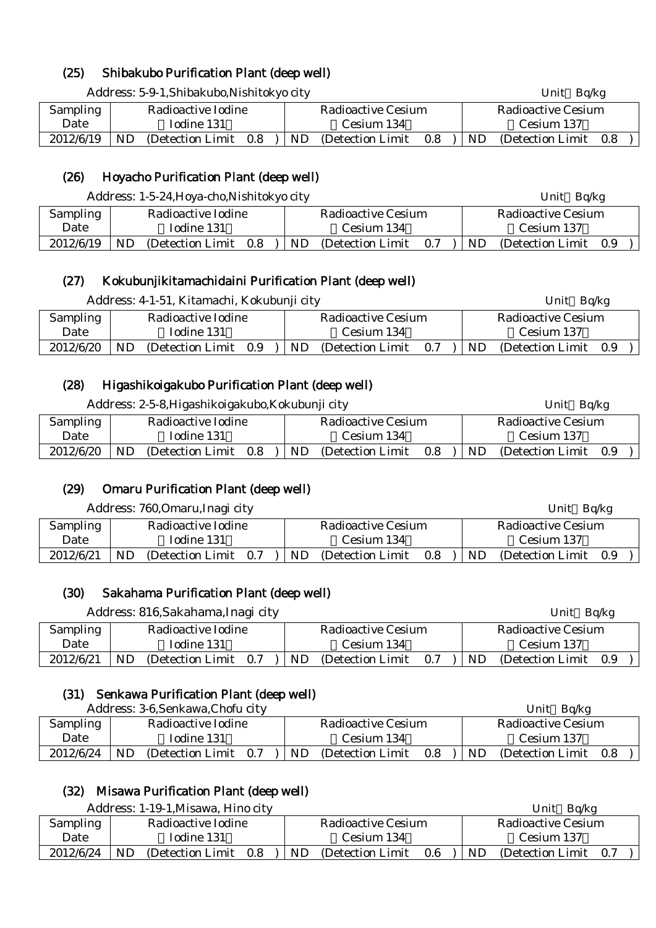# (25) Shibakubo Purification Plant (deep well)

Address: 5-9-1,Shibakubo,Nishitokyo city Unit Bq/kg Sampling Date Radioactive Iodine Iodine 131 Radioactive Cesium Cesium 134 Radioactive Cesium Cesium 137  $2012/6/19$  ND (Detection Limit 0.8 ) ND (Detection Limit 0.8 ) ND (Detection Limit 0.8

### (26) Hoyacho Purification Plant (deep well)

|                 | Address: 1-5-24, Hoya-cho, Nishitokyo city |                                       | Bq/kg<br>Unit                   |  |  |  |
|-----------------|--------------------------------------------|---------------------------------------|---------------------------------|--|--|--|
| <b>Sampling</b> | Radioactive Iodine                         | Radioactive Cesium                    | Radioactive Cesium              |  |  |  |
| Date            | Iodine 131                                 | Cesium 134                            | Cesium 137                      |  |  |  |
| 2012/6/19       | ND<br>(Detection Limit 0.8)                | <b>ND</b><br>0.7<br>(Detection Limit) | ND.<br>(Detection Limit)<br>0.9 |  |  |  |

#### (27) Kokubunjikitamachidaini Purification Plant (deep well)

|           | Address: 4-1-51, Kitamachi, Kokubunji city |                   |     |  |                           |                   |     |  |     | Unit Bq/kg            |  |  |  |
|-----------|--------------------------------------------|-------------------|-----|--|---------------------------|-------------------|-----|--|-----|-----------------------|--|--|--|
| Sampling  | Radioactive Iodine                         |                   |     |  | <b>Radioactive Cesium</b> |                   |     |  |     | Radioactive Cesium    |  |  |  |
| Date      | Iodine 131                                 |                   |     |  | Cesium 134                |                   |     |  |     | Cesium 137            |  |  |  |
| 2012/6/20 | ND.                                        | (Detection Limit) | 0.9 |  | ND                        | (Detection Limit) | 0.7 |  | ND. | (Detection Limit 0.9) |  |  |  |

#### (28) Higashikoigakubo Purification Plant (deep well)

|                 | Address: 2-5-8, Higashikoigakubo, Kokubunji city |                    |     |     |                           |     |                    |                       | Bq/kg |  |
|-----------------|--------------------------------------------------|--------------------|-----|-----|---------------------------|-----|--------------------|-----------------------|-------|--|
| <b>Sampling</b> |                                                  | Radioactive Iodine |     |     | <b>Radioactive Cesium</b> |     | Radioactive Cesium |                       |       |  |
| Date            |                                                  | Iodine 131         |     |     | Cesium 134                |     | Cesium 137         |                       |       |  |
| 2012/6/20       | ND                                               | (Detection Limit)  | 0.8 | ND. | (Detection Limit)         | 0.8 | ND.                | (Detection Limit 0.9) |       |  |

# (29) Omaru Purification Plant (deep well)

|                 |                    | Address: 760, Omaru, Inagi city |     |  |                    |                   |     |  | Unit Bq/kg |                    |     |  |
|-----------------|--------------------|---------------------------------|-----|--|--------------------|-------------------|-----|--|------------|--------------------|-----|--|
| <b>Sampling</b> | Radioactive Iodine |                                 |     |  | Radioactive Cesium |                   |     |  |            | Radioactive Cesium |     |  |
| Date            | Iodine 131         |                                 |     |  |                    | Cesium 134        |     |  |            | Cesium 137         |     |  |
| 2012/6/21       | ND                 | (Detection Limit)               | 0.7 |  | ND.                | (Detection Limit) | 0.8 |  | ND         | (Detection Limit)  | 0.9 |  |

#### (30) Sakahama Purification Plant (deep well)

|           |    | Address: 816, Sakahama, Inagi city |     |     |                           |     |                    | Unit $Bq/kg$          |  |  |
|-----------|----|------------------------------------|-----|-----|---------------------------|-----|--------------------|-----------------------|--|--|
| Sampling  |    | Radioactive Iodine                 |     |     | <b>Radioactive Cesium</b> |     | Radioactive Cesium |                       |  |  |
| Date      |    | Iodine 131                         |     |     | Cesium 134                |     |                    | Cesium 137            |  |  |
| 2012/6/21 | ND | (Detection Limit)                  | 0.7 | ND. | (Detection Limit)         | 0.7 | ND.                | (Detection Limit 0.9) |  |  |

#### (31) Senkawa Purification Plant (deep well)

Address: 3-6, Senkawa, Chofu city **The Contract of Contract Contract Contract Contract Contract Contract Contract Contract Contract Contract Contract Contract Contract Contract Contract Contract Contract Contract Contract** 

|                 |            | 7 ruul css. 9  v.bellikawa,Cholu elev |     |  |            |                    |     |                    | <b>UIIL</b><br>או שע |     |  |  |
|-----------------|------------|---------------------------------------|-----|--|------------|--------------------|-----|--------------------|----------------------|-----|--|--|
| <b>Sampling</b> |            | Radioactive Iodine                    |     |  |            | Radioactive Cesium |     | Radioactive Cesium |                      |     |  |  |
| Date            | Iodine 131 |                                       |     |  | Cesium 134 |                    |     |                    | Cesium 137           |     |  |  |
| 2012/6/24       | ND         | (Detection Limit)                     | 0.7 |  | ND         | (Detection Limit)  | 0.8 | ND.                | (Detection Limit)    | 0.8 |  |  |

# (32) Misawa Purification Plant (deep well)

|                 | Address: 1-19-1, Misawa, Hino city |                                 | Unit<br>Bq/kg                |  |  |
|-----------------|------------------------------------|---------------------------------|------------------------------|--|--|
| <b>Sampling</b> | Radioactive Iodine                 | Radioactive Cesium              | Radioactive Cesium           |  |  |
| Date            | Iodine 131                         | Cesium 134                      | Cesium 137                   |  |  |
| 2012/6/24       | ND<br>(Detection Limit)<br>0.8     | ND.<br>0.6<br>(Detection Limit) | ND.<br>(Detection Limit 0.7) |  |  |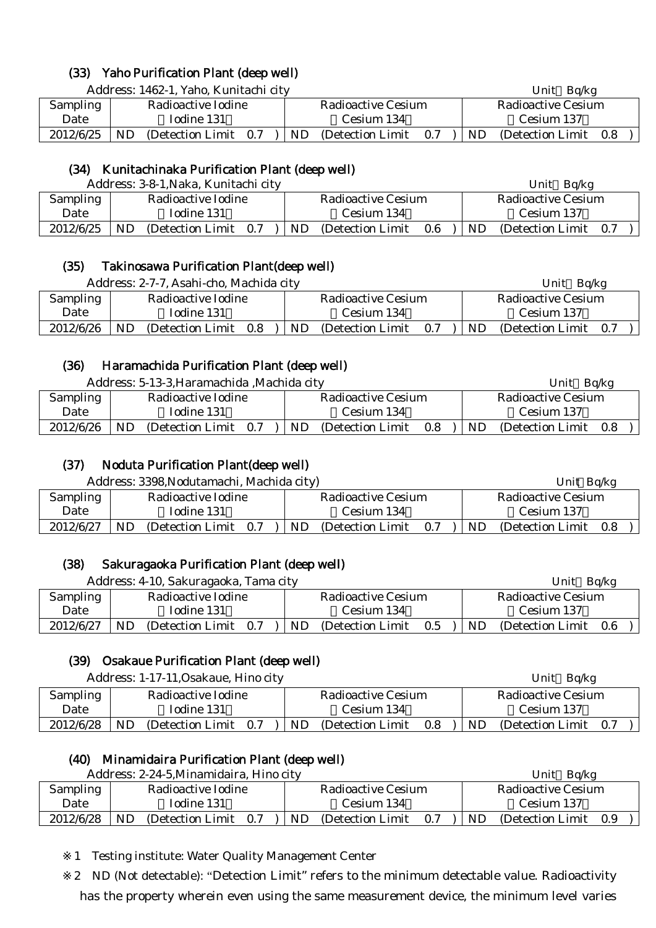# (33) Yaho Purification Plant (deep well)

Address: 1462-1, Yaho, Kunitachi city Unit Bq/kg

| Sampling  | Radioactive Iodine               | Radioactive Cesium              | Radioactive Cesium             |  |  |  |
|-----------|----------------------------------|---------------------------------|--------------------------------|--|--|--|
| Date      | Iodine 131                       | Cesium 134                      | Cesium 137                     |  |  |  |
| 2012/6/25 | ND<br>- 0.7<br>(Detection Limit) | ND.<br>(Detection Limit)<br>0.7 | ND<br>(Detection Limit)<br>0.8 |  |  |  |

### (34) Kunitachinaka Purification Plant (deep well)

|                 | Address: 3-8-1, Naka, Kunitachi city |                                | Ba/kg<br>Unit               |  |  |
|-----------------|--------------------------------------|--------------------------------|-----------------------------|--|--|
| <b>Sampling</b> | Radioactive Iodine                   | Radioactive Cesium             | Radioactive Cesium          |  |  |
| Date            | Iodine 131                           | Cesium 134                     | Cesium 137                  |  |  |
| 2012/6/25       | ND<br>(Detection Limit)<br>0.7       | ND<br>0.6<br>(Detection Limit) | ND<br>(Detection Limit 0.7) |  |  |

#### (35) Takinosawa Purification Plant(deep well)

|                 |                    | Address: 2-7-7, Asahi-cho, Machida city |     |                    |                   |     | Bq/kg<br>Unit |                       |  |  |  |
|-----------------|--------------------|-----------------------------------------|-----|--------------------|-------------------|-----|---------------|-----------------------|--|--|--|
| <b>Sampling</b> | Radioactive Iodine |                                         |     | Radioactive Cesium |                   |     |               | Radioactive Cesium    |  |  |  |
| Date            |                    | Iodine 131                              |     |                    | Cesium 134        |     |               | Cesium 137            |  |  |  |
| 2012/6/26       | ND                 | (Detection Limit)                       | 0.8 | ND.                | (Detection Limit) | 0.7 | <b>ND</b>     | (Detection Limit 0.7) |  |  |  |

#### (36) Haramachida Purification Plant (deep well)

|                 | Address: 5-13-3, Haramachida, Machida city | Unit<br>Bq/kg                   |                                |  |  |
|-----------------|--------------------------------------------|---------------------------------|--------------------------------|--|--|
| <b>Sampling</b> | Radioactive Iodine                         | Radioactive Cesium              | Radioactive Cesium             |  |  |
| Date            | Iodine 131                                 | Cesium 134                      | Cesium 137                     |  |  |
| 2012/6/26       | ND<br>(Detection Limit)<br>0.7             | ND.<br>0.8<br>(Detection Limit) | ND<br>(Detection Limit)<br>0.8 |  |  |

### (37) Noduta Purification Plant(deep well)

|           | Address: 3398, Nodutamachi, Machida city) |                   |     |  |                    |                   |     |  |            | Unit Bq/kg         |     |  |  |
|-----------|-------------------------------------------|-------------------|-----|--|--------------------|-------------------|-----|--|------------|--------------------|-----|--|--|
| Sampling  | Radioactive Iodine                        |                   |     |  | Radioactive Cesium |                   |     |  |            | Radioactive Cesium |     |  |  |
| Date      | Iodine 131                                |                   |     |  | Cesium 134         |                   |     |  | Cesium 137 |                    |     |  |  |
| 2012/6/27 | ND                                        | (Detection Limit) | 0.7 |  | ND                 | (Detection Limit) | 0.7 |  | ND         | (Detection Limit)  | 0.8 |  |  |

#### (38) Sakuragaoka Purification Plant (deep well)

| Address: 4-10, Sakuragaoka, Tama city |                    |                       |                           |     |                           | Bq/kg<br>Unit |     |                       |  |  |
|---------------------------------------|--------------------|-----------------------|---------------------------|-----|---------------------------|---------------|-----|-----------------------|--|--|
| Sampling                              | Radioactive Iodine |                       | <b>Radioactive Cesium</b> |     | <b>Radioactive Cesium</b> |               |     |                       |  |  |
| Date                                  |                    | Iodine 131            |                           |     | Cesium 134                |               |     | Cesium 137            |  |  |
| 2012/6/27                             | ND.                | (Detection Limit 0.7) |                           | ND. | (Detection Limit)         | 0.5           | ND. | (Detection Limit 0.6) |  |  |

# (39) Osakaue Purification Plant (deep well)

Address: 1-17-11, Osakaue, Hino city **Example 2018** Unit Bq/kg

| Sampling  | Radioactive Iodine             | Radioactive Cesium                    | Radioactive Cesium              |  |  |
|-----------|--------------------------------|---------------------------------------|---------------------------------|--|--|
| Date      | Iodine 131                     | Cesium 134                            | Cesium 137                      |  |  |
| 2012/6/28 | ND<br>(Detection Limit)<br>0.7 | <b>ND</b><br>(Detection Limit)<br>0.8 | ND.<br>(Detection Limit)<br>0.7 |  |  |

#### (40) Minamidaira Purification Plant (deep well)

|           | Address: 2-24-5, Minamidaira, Hino city | Ba/kg<br>Unit                   |                              |  |  |
|-----------|-----------------------------------------|---------------------------------|------------------------------|--|--|
| Sampling  | Radioactive Iodine                      | Radioactive Cesium              | Radioactive Cesium           |  |  |
| Date      | Iodine 131                              | Cesium 134                      | Cesium 137                   |  |  |
| 2012/6/28 | ND<br>(Detection Limit)<br>0.7          | ND.<br>(Detection Limit)<br>0.7 | ND.<br>(Detection Limit 0.9) |  |  |

1 Testing institute: Water Quality Management Center

2 ND (Not detectable): "Detection Limit" refers to the minimum detectable value. Radioactivity has the property wherein even using the same measurement device, the minimum level varies